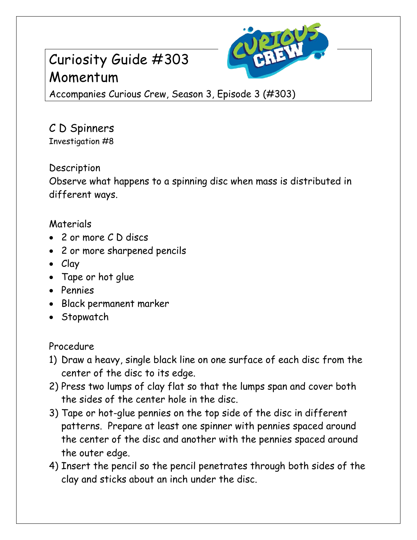# Curiosity Guide #303 Momentum



Accompanies Curious Crew, Season 3, Episode 3 (#303)

### C D Spinners Investigation #8

Description

Observe what happens to a spinning disc when mass is distributed in different ways.

## Materials

- 2 or more C D discs
- 2 or more sharpened pencils
- Clay
- Tape or hot glue
- Pennies
- Black permanent marker
- Stopwatch

Procedure

- 1) Draw a heavy, single black line on one surface of each disc from the center of the disc to its edge.
- 2) Press two lumps of clay flat so that the lumps span and cover both the sides of the center hole in the disc.
- 3) Tape or hot-glue pennies on the top side of the disc in different patterns. Prepare at least one spinner with pennies spaced around the center of the disc and another with the pennies spaced around the outer edge.
- 4) Insert the pencil so the pencil penetrates through both sides of the clay and sticks about an inch under the disc.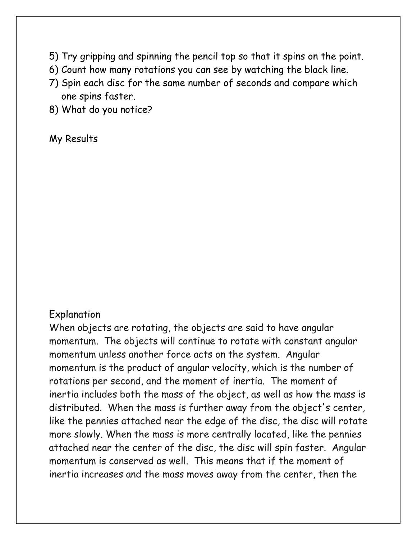- 5) Try gripping and spinning the pencil top so that it spins on the point.
- 6) Count how many rotations you can see by watching the black line.
- 7) Spin each disc for the same number of seconds and compare which one spins faster.
- 8) What do you notice?

#### My Results

#### Explanation

When objects are rotating, the objects are said to have angular momentum. The objects will continue to rotate with constant angular momentum unless another force acts on the system. Angular momentum is the product of angular velocity, which is the number of rotations per second, and the moment of inertia. The moment of inertia includes both the mass of the object, as well as how the mass is distributed. When the mass is further away from the object's center, like the pennies attached near the edge of the disc, the disc will rotate more slowly. When the mass is more centrally located, like the pennies attached near the center of the disc, the disc will spin faster. Angular momentum is conserved as well. This means that if the moment of inertia increases and the mass moves away from the center, then the